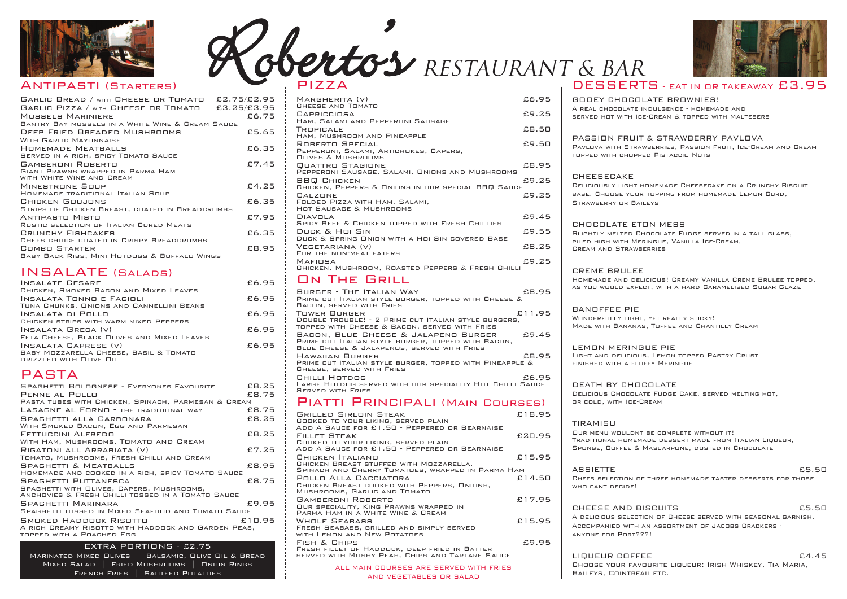#### antipasti (Starters)

| GARLIC BREAD / WITH CHEESE OR TOMATO £2.75/£2.95               |       |
|----------------------------------------------------------------|-------|
| GARLIC PIZZA / WITH CHEESE OR TOMATO £3.25/£3.95               |       |
| MUSSELS MARINIERE                                              | £6.75 |
| BANTRY BAY MUSSELS IN A WHITE WINE & CREAM SAUCE               |       |
| DEEP FRIED BREADED MUSHROOMS                                   | £5.65 |
| WITH GARLIC MAYONNAISE                                         |       |
| HOMEMADE MEATBALLS                                             | £6.35 |
| SERVED IN A RICH, SPICY TOMATO SAUCE                           |       |
| GAMBERONI ROBERTO                                              | £7.45 |
| GIANT PRAWNS WRAPPED IN PARMA HAM<br>WITH WHITE WINE AND CREAM |       |
| MINESTRONE SOUP                                                | E4.25 |
| HOMEMADE TRADITIONAL ITALIAN SOUP                              |       |
| CHICKEN GOUJONS                                                | £6.35 |
| STRIPS OF CHICKEN BREAST, COATED IN BREADCRUMBS                |       |
| ANTIPASTO MISTO                                                | £7.95 |
| RUSTIC SELECTION OF ITALIAN CURED MEATS                        |       |
| CRUNCHY FISHCAKES                                              | £6.35 |
| CHEFS CHOICE COATED IN CRISPY BREADCRUMBS                      |       |
| COMBO STARTER                                                  | £8.95 |
| BABY BACK RIBS, MINI HOTDOGS & BUFFALO WINGS                   |       |
|                                                                |       |

#### INSALATE (SALADS)



# RESTAURANT & BAR **'** PiZZa

| <b>INSALATE CESARE</b>                     | £6.95 |
|--------------------------------------------|-------|
| CHICKEN, SMOKED BACON AND MIXED LEAVES     |       |
| INSALATA TONNO E FAGIOLI                   | £6.95 |
| TUNA CHUNKS, ONIONS AND CANNELLINI BEANS   |       |
| INSALATA DI POLLO                          | £6.95 |
| CHICKEN STRIPS WITH WARM MIXED PEPPERS     |       |
| INSALATA GRECA (V)                         | £6.95 |
| FETA CHEESE, BLACK OLIVES AND MIXED LEAVES |       |
| INSALATA CAPRESE (V)                       | £6.95 |
| BABY MOZZARELLA CHEESE, BASIL & TOMATO     |       |
| DRIZZLED WITH OLIVE OIL                    |       |
|                                            |       |

### PaSTa

#### PASSION FRIJIT & STRAWBERRY PAVLOVA Pavlova with Strawberries, Passion Fruit, ice-Cream and Cream topped with chopped Pistaccio nuts

| MARGHERITA (V)                                                               | £6.95 |  |
|------------------------------------------------------------------------------|-------|--|
| CHEESE AND TOMATO<br>CAPRICCIOSA                                             | £9.25 |  |
| HAM, SALAMI AND PEPPERONI SAUSAGE                                            |       |  |
| TROPICALE                                                                    | £8.50 |  |
| HAM, MUSHROOM AND PINEAPPLE                                                  |       |  |
| ROBERTO SPECIAL<br>PEPPERONI, SALAMI, ARTICHOKES, CAPERS,                    | £9.50 |  |
| <b>OUVES &amp; MUSHROOMS</b>                                                 |       |  |
| QUATTRO STAGIONE                                                             | £8.95 |  |
| PEPPERONI SAUSAGE, SALAMI, ONIONS AND MUSHROOMS                              |       |  |
| <b>BBQ CHICKEN</b><br>CHICKEN, PEPPERS & ONIONS IN OUR SPECIAL BBQ SAUCE     | £9.25 |  |
| CALZONE                                                                      | £9.25 |  |
| FOLDED PIZZA WITH HAM, SALAMI,                                               |       |  |
| <b>HOT SAUSAGE &amp; MUSHROOMS</b>                                           |       |  |
| <b>DIAVOLA</b><br><b>SPICY BEEF &amp; CHICKEN TOPPED WITH FRESH CHILLIES</b> | £9.45 |  |
| DUCK & HOI SIN                                                               | £9.55 |  |
| DUCK & SPRING ONION WITH A HOI SIN COVERED BASE                              |       |  |
| VEGETARIANA (V)                                                              | £8.25 |  |
| FOR THE NON-MEAT EATERS                                                      |       |  |
| MAFIOSA<br>CHICKEN, MUSHROOM, ROASTED PEPPERS & FRESH CHILLI                 | £9.25 |  |
|                                                                              |       |  |

#### on The Grill

| SPAGHETTI BOLOGNESE - EVERYONES FAVOURITE                                                      | £8.25  |
|------------------------------------------------------------------------------------------------|--------|
| PENNE AL POLLO                                                                                 | £8.75  |
| PASTA TUBES WITH CHICKEN, SPINACH, PARMESAN & CREAM                                            |        |
| <b>LASAGNE AL FORNO - THE TRADITIONAL WAY</b>                                                  | £8.75  |
| SPAGHETTI ALLA CARBONARA                                                                       | £8.25  |
| WITH SMOKED BACON, EGG AND PARMESAN                                                            |        |
| FETTUCCINI ALFREDO                                                                             | £8.25  |
| WITH HAM, MUSHROOMS, TOMATO AND CREAM                                                          |        |
| RIGATONI ALL ARRABIATA (V)                                                                     | £7.25  |
| TOMATO, MUSHROOMS, FRESH CHILLI AND CREAM                                                      |        |
| <b>SPAGHETTI &amp; MEATBALLS</b>                                                               | £8.95  |
| HOMEMADE AND COOKED IN A RICH, SPICY TOMATO SAUCE                                              |        |
| SPAGHETTI PUTTANESCA                                                                           | £8.75  |
| SPAGHETTI WITH OLIVES, CAPERS, MUSHROOMS,<br>ANCHOVIES & FRESH CHILLI TOSSED IN A TOMATO SAUCE |        |
| SPAGHETTI MARINARA                                                                             | £9.95  |
| SPAGHETTI TOSSED IN MIXED SEAFOOD AND TOMATO SAUCE                                             |        |
| SMOKED HADDOCK RISOTTO                                                                         | £10.95 |
| A RICH CREAMY RISOTTO WITH HADDOCK AND GARDEN PEAS,                                            |        |
| TOPPED WITH A POACHED EGG                                                                      |        |
| EXTRA PORTIONS - £2.75                                                                         |        |
|                                                                                                |        |
| MARINATED MIXED OLIVES<br>BALSAMIC, OLIVE OIL & BREAD                                          |        |
| MIXED SALAD   FRIED MUSHROOMS   ONION RINGS                                                    |        |

OUR MENU WOULDNT BE COMPLETE WITHOUT IT! Traditional homemade dessert made from italian liqueur, Sponge, Coffee & Mascarpone, dusted in Chocolate

WHO CANT DECIDE!

ASSIETTE **ES.50** Chefs selection of three homemade taster desserts for those

CHEESE AND BISCUITS **ES.50** a delicious selection of Cheese served with seasonal garnish. accompanied with an assortment of Jacobs Crackers anyone for Port???!

LIQUEUR COFFEE **EXALL** Choose your favourite liqueur: irish whiskey, Tia Maria, Baileys, Cointreau etc.



#### DESSERTS - EAT IN OR TAKEAWAY £3.95

| BURGER - THE ITALIAN WAY<br>£8.95<br>PRIME CUT ITALIAN STYLE BURGER, TOPPED WITH CHEESE &<br>BACON, SERVED WITH FRIES                             |
|---------------------------------------------------------------------------------------------------------------------------------------------------|
| £11.95<br><b>TOWER BURGER</b><br>DOUBLE TROUBLE! - 2 PRIME CUT ITALIAN STYLE BURGERS,<br>TOPPED WITH CHEESE & BACON, SERVED WITH FRIES            |
| BACON, BLUE CHEESE & JALAPENO BURGER<br>£9.45<br>PRIME CUT ITALIAN STYLE BURGER, TOPPED WITH BACON,<br>BLUE CHEESE & JALAPENOS, SERVED WITH FRIES |
| <b>HAWAIIAN BURGER</b><br>£8.95<br>PRIME CUT ITALIAN STYLE BURGER, TOPPED WITH PINEAPPLE &<br>CHEESE, SERVED WITH FRIES                           |
| CHILLI HOTDOG<br>£6.95<br>LARGE HOTDOG SERVED WITH OUR SPECIALITY HOT CHILLI SAUCE<br><b>SERVED WITH FRIES</b>                                    |
|                                                                                                                                                   |

#### Piatti Principali (Main Courses)

| <b>GRILLED SIRLOIN STEAK</b><br>COOKED TO YOUR LIKING, SERVED PLAIN                                                                                       | £18.95 |
|-----------------------------------------------------------------------------------------------------------------------------------------------------------|--------|
| ADD A SAUCE FOR £1.50 - PEPPERED OR BEARNAISE<br><b>FILLET STEAK</b><br>COOKED TO YOUR LIKING, SERVED PLAIN                                               | £20.95 |
| ADD A SAUCE FOR £1.50 - PEPPERED OR BEARNAISE<br>CHICKEN ITALIANO<br>CHICKEN BREAST STUFFED WITH MOZZARELLA,                                              | £15.95 |
| SPINACH AND CHERRY TOMATOES, WRAPPED IN PARMA HAM<br>POLLO ALLA CACCIATORA<br>CHICKEN BREAST COOKED WITH PEPPERS, ONIONS,<br>MUSHROOMS, GARLIC AND TOMATO | £14.50 |
| <b>GAMBERONI ROBERTO</b><br>OUR SPECIALITY, KING PRAWNS WRAPPED IN<br>PARMA HAM IN A WHITE WINE & CREAM                                                   | £17.95 |
| WHOLE SEABASS<br>FRESH SEABASS, GRILLED AND SIMPLY SERVED<br>WITH LEMON AND NEW POTATOES                                                                  | £15.95 |
| FISH & CHIPS<br>FRESH FILLET OF HADDOCK, DEEP FRIED IN BATTER<br>SERVED WITH MUSHY PEAS, CHIPS AND TARTARE SAUCE                                          | £9.95  |
| ALL MAIN COURSES ARE SERVED WITH FRIES                                                                                                                    |        |

#### anD vEGETaBlES oR SalaD

French Fries | Sauteed Potatoes

#### GooEy ChoColaTE BRowniES! a real chocolate indulgence - homemade and served hot with ice-Cream & topped with Maltesers

ChEESECakE Deliciously light homemade Cheesecake on a Crunchy Biscuit base. Choose your topping from homemade lemon Curd, Strawberry or Baileys

ChoColaTE ETon MESS Slightly melted Chocolate Fudge served in a tall glass, piled high with Meringue, vanilla ice-Cream, Cream and Strawberries

CREME BRulEE homemade and delicious! Creamy vanilla Creme Brulee topped, as you would expect, with a hard Caramelised Sugar Glaze

BanoFFEE PiE WONDERFULLY LIGHT, YET REALLY STICKY! Made with Bananas, Toffee and Chantilly Cream

lEMon MERinGuE PiE light and delicious, lemon topped Pastry Crust finished with a fluffy Meringue

DEaTh By ChoColaTE Delicious Chocolate Fudge Cake, served melting hot, or cold, with ice-Cream

#### **TIRAMISU**